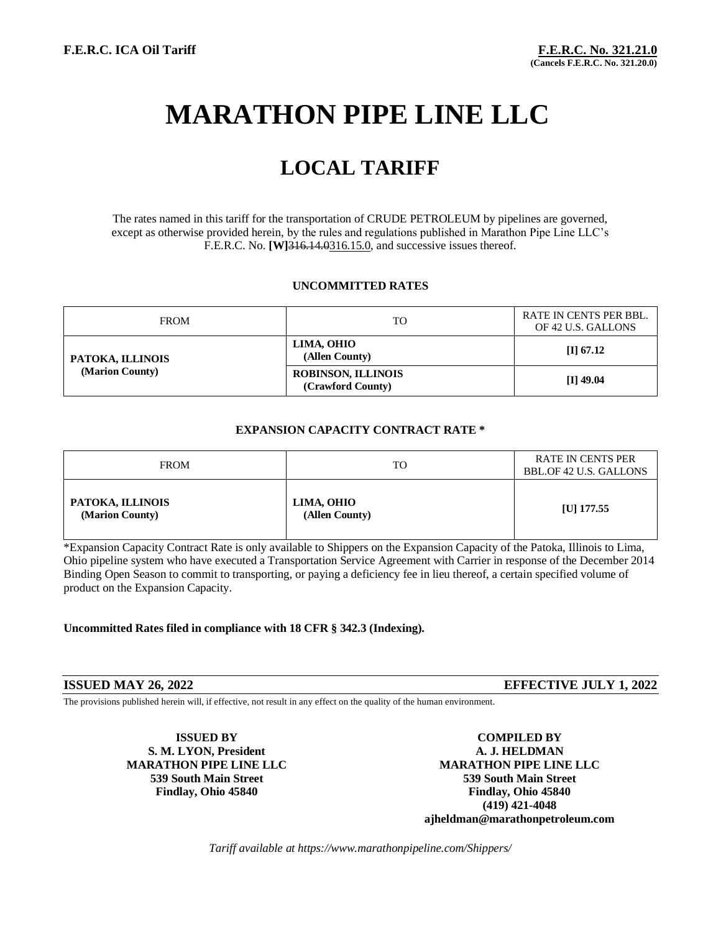# **MARATHON PIPE LINE LLC**

## **LOCAL TARIFF**

The rates named in this tariff for the transportation of CRUDE PETROLEUM by pipelines are governed, except as otherwise provided herein, by the rules and regulations published in Marathon Pipe Line LLC's F.E.R.C. No. **[W]**316.14.0316.15.0, and successive issues thereof.

#### **UNCOMMITTED RATES**

| <b>FROM</b>                         | TO                                             | RATE IN CENTS PER BBL.<br>OF 42 U.S. GALLONS |
|-------------------------------------|------------------------------------------------|----------------------------------------------|
| PATOKA, ILLINOIS<br>(Marion County) | LIMA, OHIO<br>(Allen County)                   | $\Pi$ 67.12                                  |
|                                     | <b>ROBINSON, ILLINOIS</b><br>(Crawford County) | $[I]$ 49.04                                  |

#### **EXPANSION CAPACITY CONTRACT RATE \***

| <b>FROM</b>                         | TO.                          | RATE IN CENTS PER<br>BBL.OF 42 U.S. GALLONS |
|-------------------------------------|------------------------------|---------------------------------------------|
| PATOKA, ILLINOIS<br>(Marion County) | LIMA, OHIO<br>(Allen County) | [U] $177.55$                                |

\*Expansion Capacity Contract Rate is only available to Shippers on the Expansion Capacity of the Patoka, Illinois to Lima, Ohio pipeline system who have executed a Transportation Service Agreement with Carrier in response of the December 2014 Binding Open Season to commit to transporting, or paying a deficiency fee in lieu thereof, a certain specified volume of product on the Expansion Capacity.

**Uncommitted Rates filed in compliance with 18 CFR § 342.3 (Indexing).**

**ISSUED MAY 26, 2022 EFFECTIVE JULY 1, 2022**

The provisions published herein will, if effective, not result in any effect on the quality of the human environment.

**S. M. LYON, President A. J. HELDMAN**

**ISSUED BY COMPILED BY MARATHON PIPE LINE LLC MARATHON PIPE LINE LLC 539 South Main Street 539 South Main Street Findlay, Ohio 45840 Findlay, Ohio 45840 (419) 421-4048 ajheldman@marathonpetroleum.com**

*Tariff available at https://www.marathonpipeline.com/Shippers/*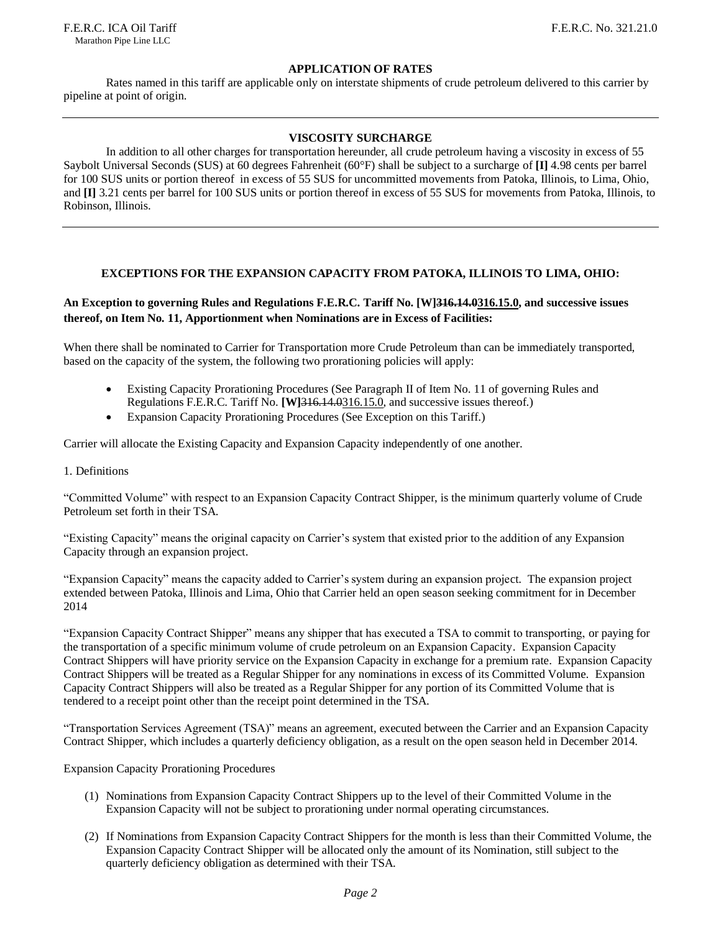F.E.R.C. ICA Oil Tariff F.E.R.C. No. 321.21.0 Marathon Pipe Line LLC

#### **APPLICATION OF RATES**

Rates named in this tariff are applicable only on interstate shipments of crude petroleum delivered to this carrier by pipeline at point of origin.

#### **VISCOSITY SURCHARGE**

In addition to all other charges for transportation hereunder, all crude petroleum having a viscosity in excess of 55 Saybolt Universal Seconds (SUS) at 60 degrees Fahrenheit (60°F) shall be subject to a surcharge of **[I]** 4.98 cents per barrel for 100 SUS units or portion thereof in excess of 55 SUS for uncommitted movements from Patoka, Illinois, to Lima, Ohio, and **[I]** 3.21 cents per barrel for 100 SUS units or portion thereof in excess of 55 SUS for movements from Patoka, Illinois, to Robinson, Illinois.

#### **EXCEPTIONS FOR THE EXPANSION CAPACITY FROM PATOKA, ILLINOIS TO LIMA, OHIO:**

#### **An Exception to governing Rules and Regulations F.E.R.C. Tariff No. [W]316.14.0316.15.0, and successive issues thereof, on Item No. 11, Apportionment when Nominations are in Excess of Facilities:**

When there shall be nominated to Carrier for Transportation more Crude Petroleum than can be immediately transported, based on the capacity of the system, the following two prorationing policies will apply:

- Existing Capacity Prorationing Procedures (See Paragraph II of Item No. 11 of governing Rules and Regulations F.E.R.C. Tariff No. **[W]**316.14.0316.15.0, and successive issues thereof.)
- Expansion Capacity Prorationing Procedures (See Exception on this Tariff.)

Carrier will allocate the Existing Capacity and Expansion Capacity independently of one another.

1. Definitions

"Committed Volume" with respect to an Expansion Capacity Contract Shipper, is the minimum quarterly volume of Crude Petroleum set forth in their TSA.

"Existing Capacity" means the original capacity on Carrier's system that existed prior to the addition of any Expansion Capacity through an expansion project.

"Expansion Capacity" means the capacity added to Carrier's system during an expansion project. The expansion project extended between Patoka, Illinois and Lima, Ohio that Carrier held an open season seeking commitment for in December 2014

"Expansion Capacity Contract Shipper" means any shipper that has executed a TSA to commit to transporting, or paying for the transportation of a specific minimum volume of crude petroleum on an Expansion Capacity. Expansion Capacity Contract Shippers will have priority service on the Expansion Capacity in exchange for a premium rate. Expansion Capacity Contract Shippers will be treated as a Regular Shipper for any nominations in excess of its Committed Volume. Expansion Capacity Contract Shippers will also be treated as a Regular Shipper for any portion of its Committed Volume that is tendered to a receipt point other than the receipt point determined in the TSA.

"Transportation Services Agreement (TSA)" means an agreement, executed between the Carrier and an Expansion Capacity Contract Shipper, which includes a quarterly deficiency obligation, as a result on the open season held in December 2014.

Expansion Capacity Prorationing Procedures

- (1) Nominations from Expansion Capacity Contract Shippers up to the level of their Committed Volume in the Expansion Capacity will not be subject to prorationing under normal operating circumstances.
- (2) If Nominations from Expansion Capacity Contract Shippers for the month is less than their Committed Volume, the Expansion Capacity Contract Shipper will be allocated only the amount of its Nomination, still subject to the quarterly deficiency obligation as determined with their TSA.